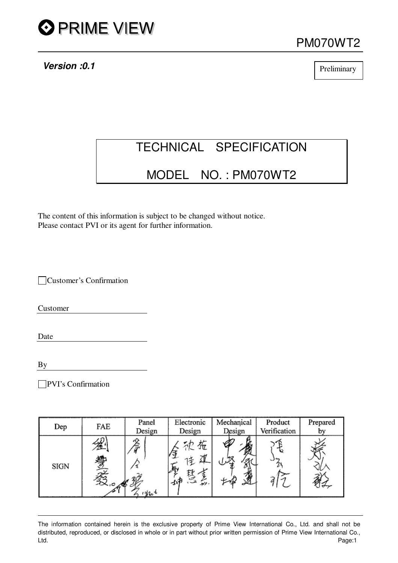

**Version :0.1**

PM070WT2

**Preliminary** 

# TECHNICAL SPECIFICATION

# MODEL NO. : PM070WT2

The content of this information is subject to be changed without notice. Please contact PVI or its agent for further information.

Customer's Confirmation

Customer

Date

By

PVI's Confirmation

| Dep  | FAE                              | Panel<br>Design | Electronic<br>Design | Mechanical<br>Design | Product<br>Verification | Prepared |
|------|----------------------------------|-----------------|----------------------|----------------------|-------------------------|----------|
| SIGN | 勞<br>$\sim$<br>$\alpha$ $\alpha$ |                 | 祢<br>. تونيو         |                      |                         |          |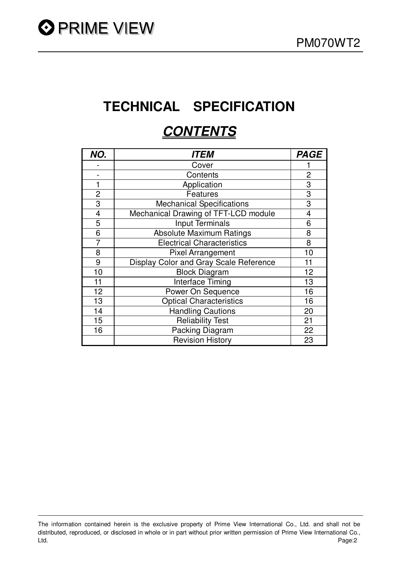# **TECHNICAL SPECIFICATION**

# **CONTENTS**

| NO.            | <i><b>ITEM</b></i>                     | <b>PAGE</b>    |
|----------------|----------------------------------------|----------------|
|                | Cover                                  |                |
|                | Contents                               | $\overline{2}$ |
|                | Application                            | 3              |
| $\overline{2}$ | Features                               | 3              |
| 3              | <b>Mechanical Specifications</b>       | 3              |
| $\overline{4}$ | Mechanical Drawing of TFT-LCD module   | 4              |
| 5              | <b>Input Terminals</b>                 | 6              |
| 6              | <b>Absolute Maximum Ratings</b>        | 8              |
| 7              | <b>Electrical Characteristics</b>      | 8              |
| 8              | <b>Pixel Arrangement</b>               | 10             |
| 9              | Display Color and Gray Scale Reference | 11             |
| 10             | <b>Block Diagram</b>                   | 12             |
| 11             | <b>Interface Timing</b>                | 13             |
| 12             | Power On Sequence                      | 16             |
| 13             | <b>Optical Characteristics</b>         | 16             |
| 14             | <b>Handling Cautions</b>               | 20             |
| 15             | <b>Reliability Test</b>                | 21             |
| 16             | Packing Diagram                        | 22             |
|                | <b>Revision History</b>                | 23             |

The information contained herein is the exclusive property of Prime View International Co., Ltd. and shall not be distributed, reproduced, or disclosed in whole or in part without prior written permission of Prime View International Co., Ltd. Page:2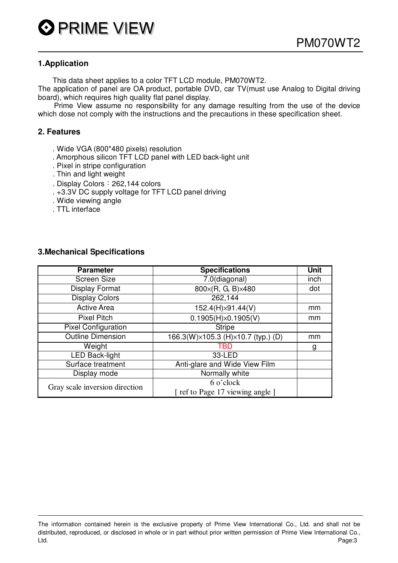#### **1.Application**

This data sheet applies to a color TFT LCD module, PM070WT2.

The application of panel are OA product, portable DVD, car TV(must use Analog to Digital driving board), which requires high quality flat panel display.

Prime View assume no responsibility for any damage resulting from the use of the device which dose not comply with the instructions and the precautions in these specification sheet.

#### **2. Features**

- . Wide VGA (800\*480 pixels) resolution
- . Amorphous silicon TFT LCD panel with LED back-light unit
- . Pixel in stripe configuration
- . Thin and light weight
- . Display Colors: 262,144 colors
- . +3.3V DC supply voltage for TFT LCD panel driving
- . Wide viewing angle
- . TTL interface

| <b>Parameter</b>               | <b>Specifications</b>              | <b>Unit</b> |
|--------------------------------|------------------------------------|-------------|
| <b>Screen Size</b>             | 7.0(diagonal)                      | inch        |
| <b>Display Format</b>          | 800×(R, G, B)×480                  | dot         |
| <b>Display Colors</b>          | 262,144                            |             |
| <b>Active Area</b>             | 152.4(H)×91.44(V)                  | mm          |
| <b>Pixel Pitch</b>             | 0.1905(H)x0.1905(V)                | mm          |
| <b>Pixel Configuration</b>     | <b>Stripe</b>                      |             |
| <b>Outline Dimension</b>       | 166.3(W)×105.3 (H)×10.7 (typ.) (D) | mm          |
| Weight                         | TBD                                | g           |
| <b>LED Back-light</b>          | 33-LED                             |             |
| Surface treatment              | Anti-glare and Wide View Film      |             |
| Display mode                   | Normally white                     |             |
| Gray scale inversion direction | 6 o'clock                          |             |
|                                | [ ref to Page 17 viewing angle ]   |             |

#### **3.Mechanical Specifications**

The information contained herein is the exclusive property of Prime View International Co., Ltd. and shall not be distributed, reproduced, or disclosed in whole or in part without prior written permission of Prime View International Co., Ltd. Page:3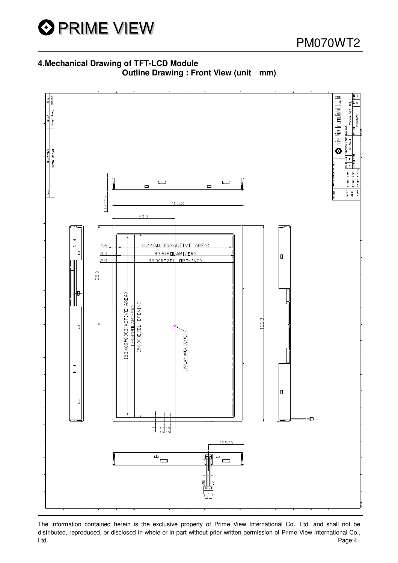

PM070WT2

# **4.Mechanical Drawing of TFT-LCD Module Outline Drawing : Front View (unit mm)**



The information contained herein is the exclusive property of Prime View International Co., Ltd. and shall not be distributed, reproduced, or disclosed in whole or in part without prior written permission of Prime View International Co., Ltd. Page:4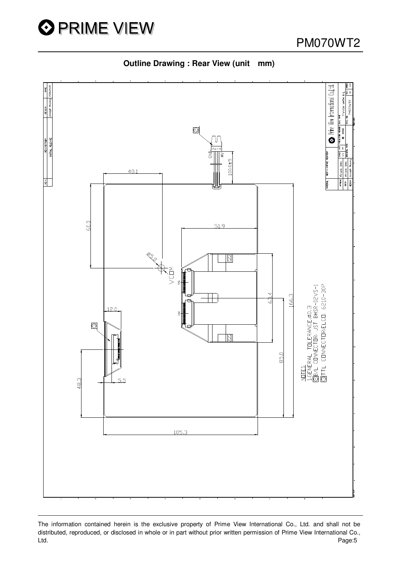



**Outline Drawing : Rear View (unit mm)**

The information contained herein is the exclusive property of Prime View International Co., Ltd. and shall not be distributed, reproduced, or disclosed in whole or in part without prior written permission of Prime View International Co., Ltd. Page:5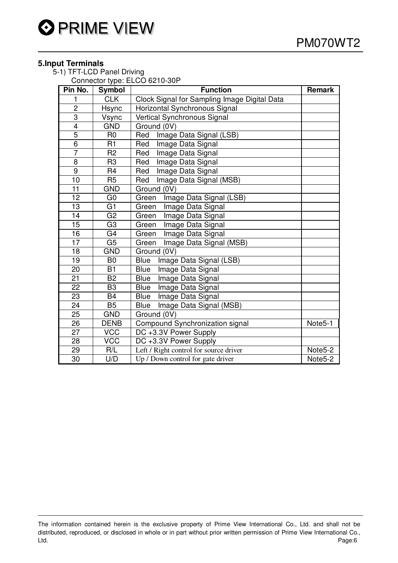# **5.Input Terminals**

5-1) TFT-LCD Panel Driving

Connector type: ELCO 6210-30P

| Pin No.                 | <b>Symbol</b>  | <b>Function</b>                              | <b>Remark</b> |
|-------------------------|----------------|----------------------------------------------|---------------|
| 1                       | <b>CLK</b>     | Clock Signal for Sampling Image Digital Data |               |
| $\overline{c}$          | Hsync          | Horizontal Synchronous Signal                |               |
| 3                       | Vsync          | Vertical Synchronous Signal                  |               |
| $\overline{\mathbf{4}}$ | <b>GND</b>     | Ground (0V)                                  |               |
| $\overline{5}$          | R <sub>0</sub> | Image Data Signal (LSB)<br>Red               |               |
| 6                       | R1             | Red<br>Image Data Signal                     |               |
| $\overline{7}$          | R <sub>2</sub> | Image Data Signal<br>Red                     |               |
| 8                       | R <sub>3</sub> | Image Data Signal<br>Red                     |               |
| 9                       | R <sub>4</sub> | Image Data Signal<br>Red                     |               |
| 10                      | R <sub>5</sub> | Image Data Signal (MSB)<br>Red               |               |
| 11                      | <b>GND</b>     | Ground (0V)                                  |               |
| 12                      | G <sub>0</sub> | Green<br>Image Data Signal (LSB)             |               |
| 13                      | G <sub>1</sub> | Image Data Signal<br>Green                   |               |
| 14                      | G <sub>2</sub> | Image Data Signal<br>Green                   |               |
| 15                      | G <sub>3</sub> | Image Data Signal<br>Green                   |               |
| 16                      | G <sub>4</sub> | Image Data Signal<br>Green                   |               |
| 17                      | G <sub>5</sub> | Green<br>Image Data Signal (MSB)             |               |
| 18                      | <b>GND</b>     | Ground (0V)                                  |               |
| $\overline{19}$         | B <sub>0</sub> | <b>Blue</b><br>Image Data Signal (LSB)       |               |
| 20                      | B1             | <b>Blue</b><br>Image Data Signal             |               |
| 21                      | B <sub>2</sub> | <b>Blue</b><br>Image Data Signal             |               |
| 22                      | B <sub>3</sub> | Image Data Signal<br><b>Blue</b>             |               |
| 23                      | <b>B4</b>      | Image Data Signal<br><b>Blue</b>             |               |
| 24                      | <b>B5</b>      | Image Data Signal (MSB)<br><b>Blue</b>       |               |
| 25                      | <b>GND</b>     | Ground (0V)                                  |               |
| 26                      | <b>DENB</b>    | Compound Synchronization signal              | Note5-1       |
| 27                      | <b>VCC</b>     | DC +3.3V Power Supply                        |               |
| 28                      | <b>VCC</b>     | DC +3.3V Power Supply                        |               |
| 29                      | R/L            | Left / Right control for source driver       | Note5-2       |
| 30                      | U/D            | Up / Down control for gate driver            | Note5-2       |

The information contained herein is the exclusive property of Prime View International Co., Ltd. and shall not be distributed, reproduced, or disclosed in whole or in part without prior written permission of Prime View International Co., Ltd. Page:6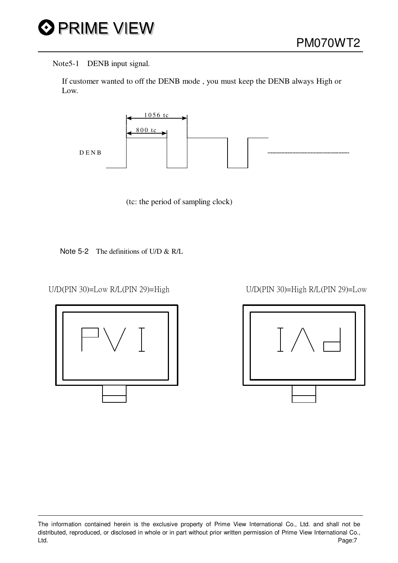

#### Note5-1 DENB input signal.

If customer wanted to off the DENB mode , you must keep the DENB always High or Low.





Note 5-2 The definitions of U/D & R/L

U/D(PIN 30)=Low R/L(PIN 29)=High U/D(PIN 30)=High R/L(PIN 29)=Low





The information contained herein is the exclusive property of Prime View International Co., Ltd. and shall not be distributed, reproduced, or disclosed in whole or in part without prior written permission of Prime View International Co., Ltd. Page:7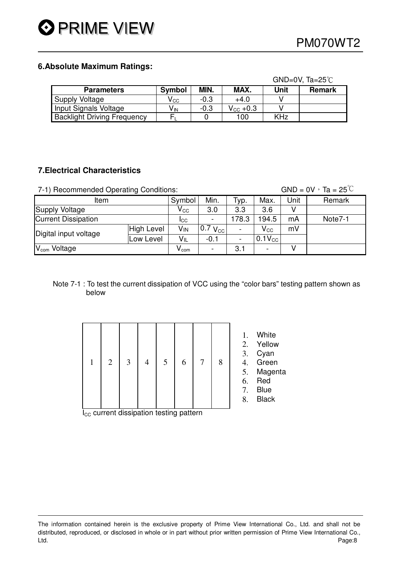### **6.Absolute Maximum Ratings:**

|                                    |                            |        |                   |            | $GND=0V$ , Ta=25°C |
|------------------------------------|----------------------------|--------|-------------------|------------|--------------------|
| <b>Parameters</b>                  | <b>Symbol</b>              | MIN.   | MAX.              | Unit       | <b>Remark</b>      |
| Supply Voltage                     | $\mathsf{V}_{\mathrm{CC}}$ | $-0.3$ | $+4.0$            |            |                    |
| Input Signals Voltage              | V <sub>IN</sub>            | $-0.3$ | $V_{\rm CC}$ +0.3 |            |                    |
| <b>Backlight Driving Frequency</b> |                            |        | 100               | <b>KHz</b> |                    |

# **7.Electrical Characteristics**

7-1) Recommended Operating Conditions: GND =  $0V \cdot Ta = 25^{\degree}C$ 

| ltem                          | Symbol                      | Min. | Typ.                | Max.                     | Unit         | Remark  |  |
|-------------------------------|-----------------------------|------|---------------------|--------------------------|--------------|---------|--|
| Supply Voltage                | $\mathsf{V}_{\mathsf{CC}}$  | 3.0  | 3.3                 | 3.6                      |              |         |  |
| <b>Current Dissipation</b>    | ICC                         |      | 178.3               | 194.5                    | mA           | Note7-1 |  |
| Digital input voltage         | <b>High Level</b>           | Vin  | $0.7 V_{\text{cc}}$ | $\overline{\phantom{0}}$ | $V_{\rm CC}$ | mV      |  |
|                               | Low Level                   | VIL  | $-0.1$              | $\overline{\phantom{a}}$ | $0.1V_{CC}$  |         |  |
| $V_{\mathsf{com}}$<br>Voltage | $\mathsf{v}_{\mathsf{com}}$ |      | 3.1                 | -                        |              |         |  |

#### Note 7-1 : To test the current dissipation of VCC using the "color bars" testing pattern shown as below

| $\mathbf{1}$ | $2 \mid 3 \mid$ | 4 | $5 \mid$ | $6 \mid$ | $7\overline{ }$ | 8 |
|--------------|-----------------|---|----------|----------|-----------------|---|
|              |                 |   |          |          |                 |   |

1. White

2. Yellow

- 3. Cyan
- 4. Green
- 5. Magenta
- 6. Red
- 7. Blue
- 8. Black

 $I_{CC}$  current dissipation testing pattern

The information contained herein is the exclusive property of Prime View International Co., Ltd. and shall not be distributed, reproduced, or disclosed in whole or in part without prior written permission of Prime View International Co., Ltd. Page:8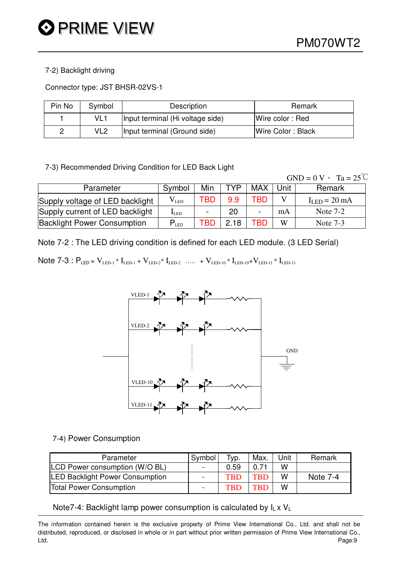#### 7-2) Backlight driving

Connector type: JST BHSR-02VS-1

| Pin No | Symbol          | Description                      | Remark            |
|--------|-----------------|----------------------------------|-------------------|
|        | VL <sub>1</sub> | Input terminal (Hi voltage side) | Wire color: Red   |
| ے      | VL2             | Input terminal (Ground side)     | Wire Color: Black |

7-3) Recommended Driving Condition for LED Back Light

 $GND = 0 V$ ,  $Ta = 25^{\circ}C$ 

| Parameter                          | Symbol             | Min                      | TYP  | <b>MAX</b>                   | Unit | Remark         |
|------------------------------------|--------------------|--------------------------|------|------------------------------|------|----------------|
| Supply voltage of LED backlight    | $\rm V_{LED}$      | TBD                      | 9.9  | TBD                          |      | $ILED = 20 mA$ |
| Supply current of LED backlight    | $I_{LED}$          | $\overline{\phantom{0}}$ | 20   | $\qquad \qquad \blacksquare$ | mA   | Note $7-2$     |
| <b>Backlight Power Consumption</b> | $P$ <sub>LED</sub> | ГВС                      | 2.18 | TBD                          | W    | Note $7-3$     |

Note 7-2 : The LED driving condition is defined for each LED module. (3 LED Serial)

Note 7-3 :  $P_{LED} = V_{LED-1} * I_{LED-1} + V_{LED-2} * I_{LED-2}$  ….. +  $V_{LED-10} * I_{LED-10} + V_{LED-11} * I_{LED-11}$ 



#### 7-4) Power Consumption

| Parameter                              | Symbol         | Typ.       | Max.       | Unit | Remark   |
|----------------------------------------|----------------|------------|------------|------|----------|
| LCD Power consumption (W/O BL)         | $\blacksquare$ | 0.59       | 0.71       | W    |          |
| <b>LED Backlight Power Consumption</b> |                | <b>TRD</b> | <b>TBD</b> | W    | Note 7-4 |
| <b>Total Power Consumption</b>         |                | TRD        | <b>TBD</b> | W    |          |

#### Note7-4: Backlight lamp power consumption is calculated by  $I_L \times V_L$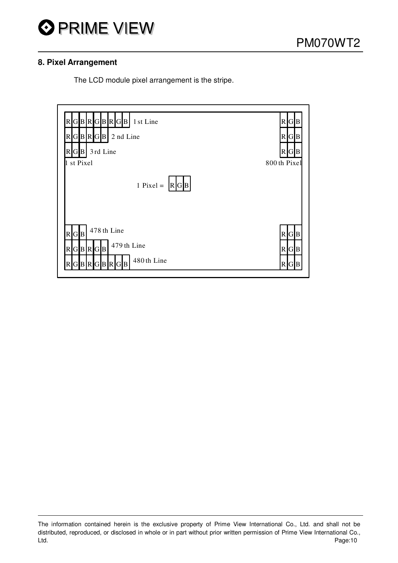

## **8. Pixel Arrangement**

The LCD module pixel arrangement is the stripe.

| R[G B R[G B R[G B]<br>1 st Line<br>RGBRGB<br>2 nd Line<br>$R[G B]$ 3rd Line<br>1 st Pixel | R[G]B<br>RGB<br>R <b>GB</b><br>800th Pixel        |
|-------------------------------------------------------------------------------------------|---------------------------------------------------|
| 1 Pixel = $ R G B $                                                                       |                                                   |
| 478 th Line<br>R[G B]<br>479 th Line<br>$R$ GBRGB<br>480th Line<br>GBRGBRGB               | R <b>GB</b><br>R[G]B<br>$\mathsf{R}\vert$<br>IGIB |

The information contained herein is the exclusive property of Prime View International Co., Ltd. and shall not be distributed, reproduced, or disclosed in whole or in part without prior written permission of Prime View International Co., Ltd. Page:10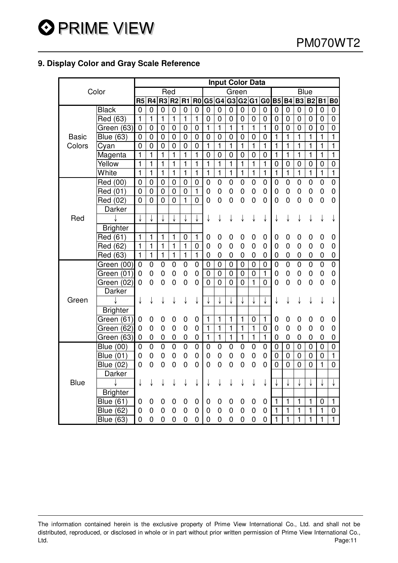# **9. Display Color and Gray Scale Reference**

|              |                  |                |                  |                |                |                         |                |                         |                |                | <b>Input Color Data</b> |                         |                |                |                |                |                |                |                         |
|--------------|------------------|----------------|------------------|----------------|----------------|-------------------------|----------------|-------------------------|----------------|----------------|-------------------------|-------------------------|----------------|----------------|----------------|----------------|----------------|----------------|-------------------------|
|              | Color            |                |                  | Red            |                |                         |                |                         |                | Green          |                         |                         |                |                |                | <b>Blue</b>    |                |                |                         |
|              |                  | R <sub>5</sub> | R <sub>4</sub>   | R <sub>3</sub> | R <sub>2</sub> | R1                      | R <sub>0</sub> |                         | G5 G4          |                | G3 G2 G1                |                         | G <sub>0</sub> | <b>B5</b>      | <b>B4</b>      | <b>B3</b>      | <b>B2</b>      | <b>B1</b>      | B <sub>0</sub>          |
|              | <b>Black</b>     | $\overline{0}$ | $\overline{0}$   | $\overline{0}$ | $\overline{0}$ | $\mathbf 0$             | $\mathbf 0$    | $\mathbf 0$             | $\mathbf 0$    | $\mathbf 0$    | $\mathbf 0$             | $\mathbf 0$             | 0              | 0              | 0              | 0              | 0              | 0              | 0                       |
|              | Red (63)         | $\mathbf{1}$   | $\mathbf{1}$     | 1              | $\mathbf{1}$   | 1                       | 1              | 0                       | $\mathbf 0$    | 0              | $\mathbf 0$             | 0                       | 0              | $\mathbf 0$    | 0              | 0              | 0              | 0              | 0                       |
|              | Green (63)       | $\mathbf 0$    | $\mathbf 0$      | $\mathbf 0$    | $\mathbf 0$    | $\mathbf 0$             | $\mathbf 0$    | 1                       | $\mathbf{1}$   | $\mathbf{1}$   | $\mathbf{1}$            | $\mathbf{1}$            | $\mathbf{1}$   | $\mathbf 0$    | 0              | $\mathbf 0$    | 0              | 0              | 0                       |
| <b>Basic</b> | <b>Blue (63)</b> | $\mathbf 0$    | $\mathbf 0$      | $\mathbf 0$    | $\mathbf 0$    | $\mathbf 0$             | $\mathbf 0$    | $\mathbf 0$             | $\mathbf 0$    | $\mathbf 0$    | 0                       | $\mathbf 0$             | $\mathbf 0$    | $\mathbf{1}$   | $\mathbf{1}$   | 1              | 1              | $\mathbf{1}$   | $\mathbf{1}$            |
| Colors       | Cyan             | $\overline{0}$ | $\overline{0}$   | $\mathbf 0$    | $\overline{0}$ | $\mathbf 0$             | $\overline{0}$ | $\overline{\mathbf{1}}$ | $\overline{1}$ | $\overline{1}$ | $\overline{1}$          | $\overline{\mathbf{1}}$ | 1              | 1              | 1              | 1              | 1              | 1              | $\overline{\mathbf{1}}$ |
|              | Magenta          | $\mathbf{1}$   | $\mathbf{1}$     | $\mathbf{1}$   | $\mathbf{1}$   | $\mathbf{1}$            | $\mathbf{1}$   | $\mathbf 0$             | $\overline{0}$ | $\mathbf 0$    | $\overline{0}$          | $\overline{0}$          | 0              | $\mathbf{1}$   | 1              | 1              | 1              | $\mathbf{1}$   | $\mathbf{1}$            |
|              | Yellow           | 1              | $\mathbf{1}$     | $\mathbf{1}$   | $\mathbf{1}$   | $\mathbf{1}$            | $\mathbf{1}$   | $\mathbf{1}$            | $\mathbf{1}$   | $\mathbf{1}$   | $\mathbf{1}$            | $\mathbf{1}$            | $\mathbf{1}$   | $\mathbf 0$    | $\pmb{0}$      | $\pmb{0}$      | $\pmb{0}$      | $\mathbf 0$    | $\mathbf 0$             |
|              | White            | $\mathbf{1}$   | $\mathbf{1}$     | $\mathbf{1}$   | $\mathbf{1}$   | $\mathbf{1}$            | $\mathbf{1}$   | $\mathbf{1}$            | $\mathbf{1}$   | $\mathbf{1}$   | $\mathbf{1}$            | $\mathbf{1}$            | $\mathbf{1}$   | $\mathbf{1}$   | $\mathbf{1}$   | $\mathbf{1}$   | 1              | $\mathbf{1}$   | $\mathbf{1}$            |
|              | Red (00)         | 0              | $\mathbf 0$      | $\mathbf 0$    | $\mathbf 0$    | $\mathbf 0$             | $\mathbf 0$    | 0                       | $\mathbf 0$    | 0              | $\mathbf 0$             | 0                       | 0              | $\mathbf 0$    | $\mathbf 0$    | $\mathbf 0$    | 0              | $\mathbf 0$    | $\overline{0}$          |
|              | Red (01)         | $\mathbf 0$    | $\mathbf 0$      | $\mathbf 0$    | $\overline{0}$ | $\mathbf 0$             | $\mathbf{1}$   | $\mathbf 0$             | $\mathbf 0$    | 0              | $\mathbf 0$             | 0                       | $\mathbf 0$    | $\mathbf 0$    | 0              | $\mathbf 0$    | $\mathbf 0$    | $\mathbf 0$    | $\mathbf 0$             |
|              | Red (02)         | $\overline{0}$ | $\overline{0}$   | $\overline{0}$ | $\overline{0}$ | $\mathbf{1}$            | $\overline{0}$ | 0                       | 0              | 0              | $\overline{0}$          | 0                       | 0              | $\mathbf 0$    | $\overline{0}$ | 0              | 0              | $\mathbf 0$    | 0                       |
|              | Darker           |                |                  |                |                |                         |                |                         |                |                |                         |                         |                |                |                |                |                |                |                         |
| Red          |                  |                |                  |                |                |                         |                | ↓                       | ↓              | ↓              |                         | ↓                       | ↓              | ↓              | ↓              | ↓              | ↓              | ↓              |                         |
|              | <b>Brighter</b>  |                |                  |                |                |                         |                |                         |                |                |                         |                         |                |                |                |                |                |                |                         |
|              | Red (61)         | 1              | $\mathbf{1}$     | $\mathbf{1}$   | $\mathbf{1}$   | $\mathbf 0$             | $\mathbf{1}$   | 0                       | 0              | 0              | 0                       | 0                       | 0              | $\mathbf 0$    | 0              | $\mathbf 0$    | 0              | 0              | 0                       |
|              | Red (62)         | $\overline{1}$ | $\overline{1}$   | $\mathbf{1}$   | $\overline{1}$ | $\mathbf{1}$            | $\mathbf 0$    | $\mathbf 0$             | 0              | 0              | $\mathbf 0$             | 0                       | 0              | $\mathbf 0$    | 0              | $\mathbf 0$    | 0              | $\mathbf 0$    | $\mathbf 0$             |
|              | Red (63)         | $\mathbf{1}$   | $\overline{1}$   | $\overline{1}$ | $\overline{1}$ | $\overline{\mathbf{1}}$ | $\overline{1}$ | $\mathbf 0$             | $\mathbf 0$    | 0              | $\mathbf 0$             | 0                       | 0              | 0              | $\mathbf 0$    | $\mathbf 0$    | 0              | $\mathbf 0$    | $\mathbf 0$             |
|              | Green (00)       | $\mathbf 0$    | $\boldsymbol{0}$ | 0              | 0              | $\mathbf 0$             | 0              | $\mathbf 0$             | $\mathbf 0$    | $\mathbf 0$    | $\mathbf 0$             | $\mathbf 0$             | 0              | $\mathbf 0$    | $\overline{0}$ | $\overline{0}$ | $\overline{0}$ | $\overline{0}$ | $\overline{0}$          |
|              | Green (01)       | 0              | 0                | 0              | 0              | $\mathbf 0$             | $\overline{0}$ | $\mathbf 0$             | $\mathbf 0$    | $\overline{0}$ | $\mathbf 0$             | $\mathbf 0$             | $\mathbf{1}$   | $\mathbf 0$    | 0              | $\mathbf 0$    | 0              | $\mathbf 0$    | 0                       |
|              | Green (02)       | 0              | $\overline{0}$   | $\mathbf 0$    | $\mathbf 0$    | 0                       | 0              | $\overline{0}$          | $\overline{0}$ | $\overline{0}$ | $\overline{0}$          | $\blacksquare$          | 0              | 0              | $\overline{0}$ | 0              | $\mathbf 0$    | $\pmb{0}$      | $\overline{0}$          |
|              | Darker           |                |                  |                |                |                         |                |                         |                |                |                         |                         |                |                |                |                |                |                |                         |
| Green        |                  | ↓              | ↓                | ↓              | ↓              | ↓                       | ↓              |                         |                | ↓              |                         |                         |                | ↓              | ↓              | ↓              | ↓              | ↓              |                         |
|              | <b>Brighter</b>  |                |                  |                |                |                         |                |                         |                |                |                         |                         |                |                |                |                |                |                |                         |
|              | Green (61)       | 0              | 0                | 0              | 0              | 0                       | 0              | 1                       | 1              | 1              | 1                       | 0                       | 1              | 0              | 0              | 0              | 0              | 0              | 0                       |
|              | Green (62)       | $\mathbf 0$    | $\mathbf 0$      | $\mathbf 0$    | $\mathbf 0$    | $\mathbf 0$             | $\mathbf 0$    | 1                       | 1              | 1              | $\mathbf{1}$            | 1                       | 0              | $\mathbf 0$    | $\mathbf 0$    | $\mathbf 0$    | 0              | $\mathbf 0$    | $\overline{0}$          |
|              | (63)<br>Green    | 0              | 0                | 0              | 0              | $\mathbf 0$             | 0              | 1                       | 1              | 1              | 1                       | 1                       | 1              | $\mathbf 0$    | 0              | $\mathbf 0$    | 0              | 0              | 0                       |
|              | <b>Blue (00)</b> | $\mathbf 0$    | $\mathbf 0$      | $\mathbf 0$    | $\mathbf 0$    | $\mathbf 0$             | $\mathbf 0$    | $\mathbf 0$             | $\mathbf 0$    | 0              | 0                       | 0                       | 0              | 0              | $\mathbf 0$    | 0              | 0              | 0              | 0                       |
|              | <b>Blue (01)</b> | 0              | $\mathbf 0$      | $\mathbf 0$    | $\mathbf 0$    | 0                       | 0              | $\mathbf 0$             | $\mathbf 0$    | 0              | $\mathbf 0$             | 0                       | 0              | $\mathbf 0$    | $\mathbf 0$    | $\mathbf 0$    | 0              | 0              | $\mathbf{1}$            |
|              | <b>Blue (02)</b> | 0              | 0                | $\mathbf 0$    | $\mathbf 0$    | $\overline{0}$          | 0              | $\mathbf 0$             | 0              | $\overline{0}$ | $\overline{0}$          | 0                       | 0              | $\overline{0}$ | $\overline{0}$ | $\mathbf 0$    | $\overline{0}$ | $\mathbf{1}$   | $\overline{0}$          |
|              | Darker           |                |                  |                |                |                         |                |                         |                |                |                         |                         |                |                |                |                |                |                |                         |
| <b>Blue</b>  |                  | ↓              | ↓                | ↓              | ↓              | ↓                       | ↓              |                         |                |                |                         |                         |                |                | ↓              | ↓              | ↓              | ↓              | ↓                       |
|              | <b>Brighter</b>  |                |                  |                |                |                         |                |                         |                |                |                         |                         |                |                |                |                |                |                |                         |
|              | <b>Blue (61)</b> | 0              | 0                | 0              | 0              | 0                       | 0              | 0                       | 0              | 0              | 0                       | 0                       | 0              | $\mathbf{1}$   | 1              | 1              | 1              | 0              | $\mathbf{1}$            |
|              | <b>Blue (62)</b> | 0              | 0                | 0              | 0              | 0                       | 0              | $\mathbf 0$             | 0              | 0              | 0                       | 0                       | 0              | $\mathbf{1}$   | 1              | 1              | 1              | 1              | 0                       |
|              | <b>Blue (63)</b> | $\mathbf 0$    | $\overline{0}$   | 0              | $\overline{0}$ | $\overline{0}$          | $\overline{0}$ | $\overline{0}$          | 0              | 0              | 0                       | $\overline{0}$          | 0              | $\mathbf{1}$   | 1              | 1              | $\mathbf{1}$   | $\overline{1}$ | $\mathbf{1}$            |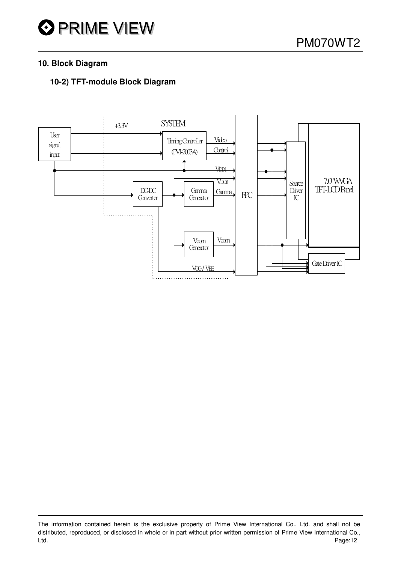## **10. Block Diagram**

# **10-2) TFT-module Block Diagram**



The information contained herein is the exclusive property of Prime View International Co., Ltd. and shall not be distributed, reproduced, or disclosed in whole or in part without prior written permission of Prime View International Co., Ltd. Page:12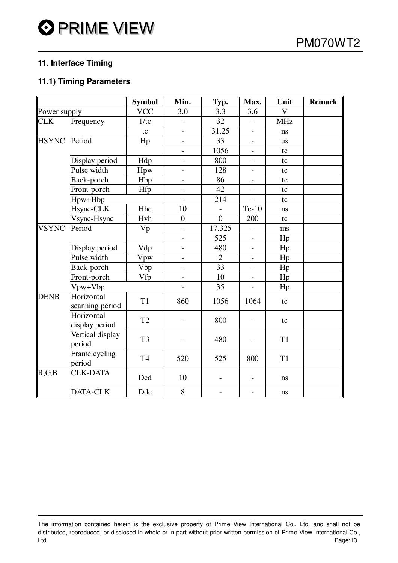# **11. Interface Timing**

# **11.1) Timing Parameters**

|              |                               | <b>Symbol</b>  | Min.                     | Typ.           | Max.                     | Unit           | <b>Remark</b> |
|--------------|-------------------------------|----------------|--------------------------|----------------|--------------------------|----------------|---------------|
| Power supply |                               | <b>VCC</b>     | 3.0                      | 3.3            | 3.6                      | $\mathbf V$    |               |
| <b>CLK</b>   | Frequency                     | 1/tc           | $\overline{\phantom{a}}$ | 32             | $\overline{\phantom{a}}$ | <b>MHz</b>     |               |
|              |                               | tc             | $\overline{\phantom{0}}$ | 31.25          | $\overline{\phantom{a}}$ | ns             |               |
| <b>HSYNC</b> | Period                        | Hp             |                          | 33             | $\overline{\phantom{a}}$ | <b>us</b>      |               |
|              |                               |                | $\overline{\phantom{0}}$ | 1056           | $\overline{\phantom{a}}$ | tc             |               |
|              | Display period                | Hdp            |                          | 800            | $\overline{\phantom{a}}$ | tc             |               |
|              | Pulse width                   | Hpw            | $\overline{\phantom{0}}$ | 128            | $\overline{\phantom{a}}$ | tc             |               |
|              | Back-porch                    | Hbp            | $\overline{\phantom{a}}$ | 86             | $\overline{\phantom{a}}$ | tc             |               |
|              | Front-porch                   | Hfp            |                          | 42             | $\overline{\phantom{a}}$ | tc             |               |
|              | Hpw+Hbp                       |                |                          | 214            |                          | tc             |               |
|              | Hsync-CLK                     | Hhc            | 10                       |                | $Tc-10$                  | ns             |               |
|              | Vsync-Hsync                   | Hvh            | $\overline{0}$           | $\theta$       | 200                      | tc             |               |
| <b>VSYNC</b> | Period                        | Vp             | $\overline{a}$           | 17.325         |                          | ms             |               |
|              |                               |                | $\overline{a}$           | 525            | $\blacksquare$           | Hp             |               |
|              | Display period                | Vdp            | $\overline{\phantom{a}}$ | 480            | $\overline{\phantom{a}}$ | Hp             |               |
|              | Pulse width                   | Vpw            | $\overline{\phantom{a}}$ | $\overline{2}$ | $\overline{\phantom{a}}$ | Hp             |               |
|              | Back-porch                    | <b>Vbp</b>     | $\overline{\phantom{a}}$ | 33             | $\overline{\phantom{a}}$ | Hp             |               |
|              | Front-porch                   | Vfp            |                          | 10             | $\overline{\phantom{a}}$ | Hp             |               |
|              | Vpw+Vbp                       |                |                          | 35             |                          | Hp             |               |
| DENB         | Horizontal<br>scanning period | T1             | 860                      | 1056           | 1064                     | tc             |               |
|              | Horizontal<br>display period  | T <sub>2</sub> |                          | 800            |                          | tc             |               |
|              | Vertical display<br>period    | T <sub>3</sub> |                          | 480            |                          | T <sub>1</sub> |               |
|              | Frame cycling<br>period       | T4             | 520                      | 525            | 800                      | T <sub>1</sub> |               |
| $\ R,G,B\ $  | <b>CLK-DATA</b>               | Dcd            | 10                       |                |                          | ns             |               |
|              | <b>DATA-CLK</b>               | Ddc            | 8                        | $\overline{a}$ |                          | ns             |               |

The information contained herein is the exclusive property of Prime View International Co., Ltd. and shall not be distributed, reproduced, or disclosed in whole or in part without prior written permission of Prime View International Co., Ltd. Page:13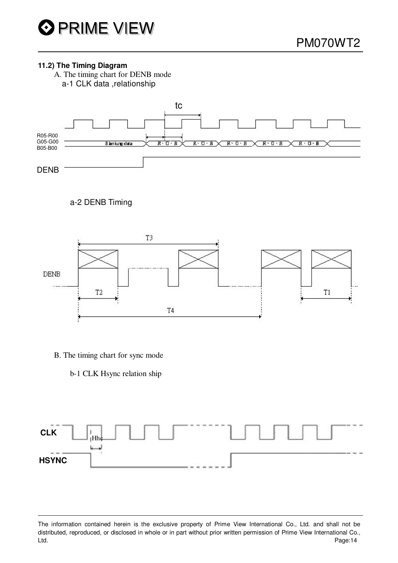#### **11.2) The Timing Diagram**

A. The timing chart for DENB mode a-1 CLK data ,relationship



# a-2 DENB Timing



- B. The timing chart for sync mode
	- b-1 CLK Hsync relation ship



The information contained herein is the exclusive property of Prime View International Co., Ltd. and shall not be distributed, reproduced, or disclosed in whole or in part without prior written permission of Prime View International Co., Ltd. Page:14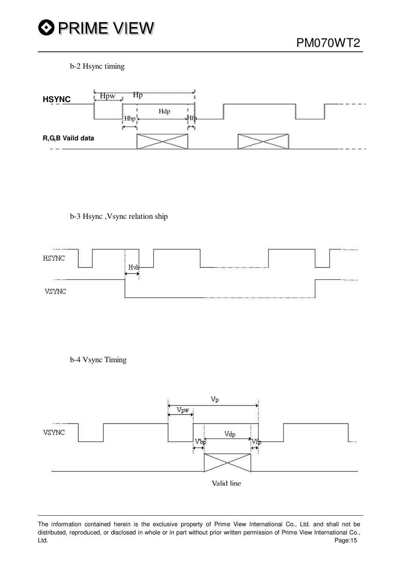

b-2 Hsync timing



b-3 Hsync ,Vsync relation ship



b-4 Vsync Timing

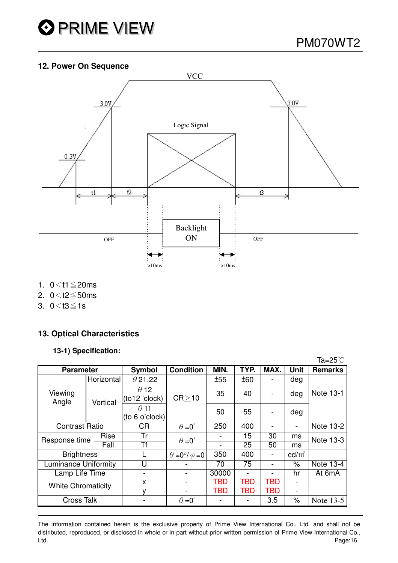

### **12. Power On Sequence**



- 1.  $0 < t1 \le 20$ ms
- 2.  $0 < t2 \le 50$ ms
- 3.  $0 < t3 \le 1s$

## **13. Optical Characteristics**

#### **13-1) Specification:**

|                             |            |                               |                                |       |      |                          |                          | Ta=25 $^{\circ}$ C |
|-----------------------------|------------|-------------------------------|--------------------------------|-------|------|--------------------------|--------------------------|--------------------|
| <b>Parameter</b>            |            | <b>Symbol</b>                 | <b>Condition</b>               | MIN.  | TYP. | MAX.                     | <b>Unit</b>              | <b>Remarks</b>     |
| Viewing<br>Angle            | Horizontal | $\theta$ 21.22                | CR > 10                        | ±55   | ±60  |                          | deg                      | Note 13-1          |
|                             | Vertical   | $\theta$ 12<br>(to12 'clock)  |                                | 35    | 40   |                          | deg                      |                    |
|                             |            | $\theta$ 11<br>(to 6 o'clock) |                                | 50    | 55   | $\overline{\phantom{0}}$ | deg                      |                    |
| <b>Contrast Ratio</b>       |            | <b>CR</b>                     | $\theta = 0^{\circ}$           | 250   | 400  |                          | $\overline{\phantom{a}}$ | Note 13-2          |
| Rise<br>Response time       |            | Tr                            | $\theta = 0^{\circ}$           |       | 15   | 30                       | ms                       | Note 13-3          |
|                             | Fall       | Tf                            |                                |       | 25   | 50                       | ms                       |                    |
| <b>Brightness</b>           |            |                               | $\theta = 0^\circ/\varphi = 0$ | 350   | 400  |                          | $\text{cd/m}^2$          |                    |
| <b>Luminance Uniformity</b> |            | U                             |                                | 70    | 75   |                          | $\%$                     | Note 13-4          |
| Lamp Life Time              |            |                               |                                | 30000 |      |                          | hr                       | At 6mA             |
| <b>White Chromaticity</b>   |            | X                             |                                | TBD   | TBD  | TBD                      | $\overline{\phantom{0}}$ |                    |
|                             |            | v                             |                                | TBD   | TBD  | TBD                      | $\overline{\phantom{a}}$ |                    |
| <b>Cross Talk</b>           |            |                               | $\theta = 0^{\circ}$           |       |      | 3.5                      | $\%$                     | Note 13-5          |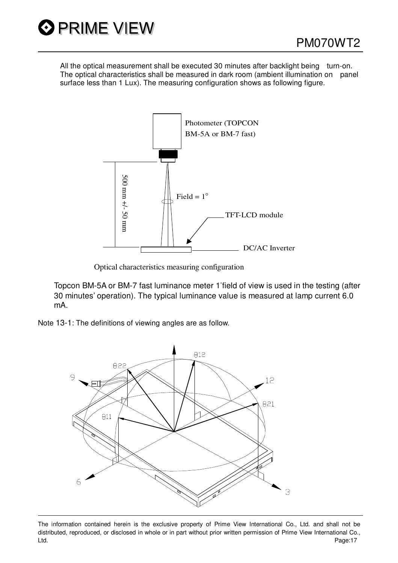

All the optical measurement shall be executed 30 minutes after backlight being turn-on. The optical characteristics shall be measured in dark room (ambient illumination on panel surface less than 1 Lux). The measuring configuration shows as following figure.



Optical characteristics measuring configuration

Topcon BM-5A or BM-7 fast luminance meter 1%field of view is used in the testing (after 30 minutes' operation). The typical luminance value is measured at lamp current 6.0 mA.

Note 13-1: The definitions of viewing angles are as follow.



The information contained herein is the exclusive property of Prime View International Co., Ltd. and shall not be distributed, reproduced, or disclosed in whole or in part without prior written permission of Prime View International Co., Ltd. Page:17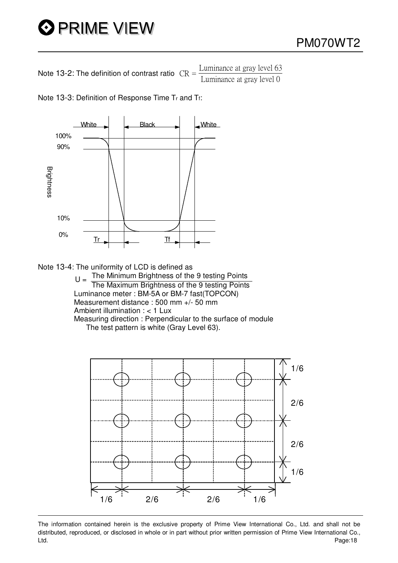# O PRIME VIEW

Note 13-2: The definition of contrast ratio  $CR =$  $\frac{\text{Luminance at gray level } 63}{\text{Luminance at gray level } 0}$ 

Note 13-3: Definition of Response Time Tr and Tf:



Note 13-4: The uniformity of LCD is defined as<br>The Minimum Brightness of the 9 testing Points  $U = \frac{1}{\text{The Minimum brightness on the 9 testing points}}$ Luminance meter : BM-5A or BM-7 fast(TOPCON) Measurement distance : 500 mm +/- 50 mm Ambient illumination : < 1 Lux Measuring direction : Perpendicular to the surface of module The test pattern is white (Gray Level 63).



The information contained herein is the exclusive property of Prime View International Co., Ltd. and shall not be distributed, reproduced, or disclosed in whole or in part without prior written permission of Prime View International Co., Ltd. Page:18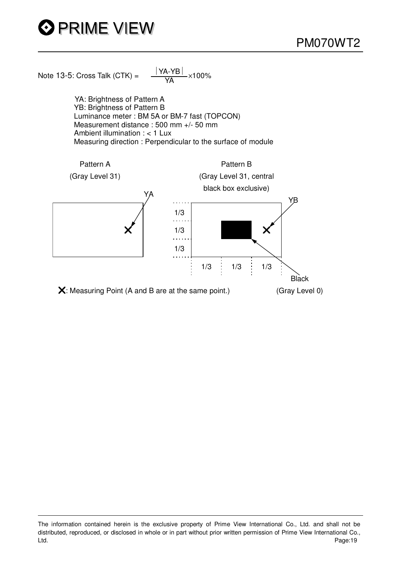# O PRIME VIEW

Note 13-5: Cross Talk (CTK) =  $\frac{|\text{YA-YB}|}{|\text{YA}|} \times 100\%$ 

YA: Brightness of Pattern A YB: Brightness of Pattern B Luminance meter : BM 5A or BM-7 fast (TOPCON) Measurement distance : 500 mm +/- 50 mm Ambient illumination : < 1 Lux Measuring direction : Perpendicular to the surface of module



The information contained herein is the exclusive property of Prime View International Co., Ltd. and shall not be distributed, reproduced, or disclosed in whole or in part without prior written permission of Prime View International Co., Ltd. Page:19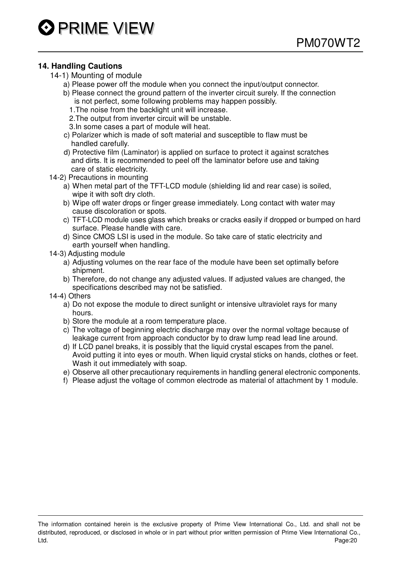## **14. Handling Cautions**

- 14-1) Mounting of module
	- a) Please power off the module when you connect the input/output connector.
	- b) Please connect the ground pattern of the inverter circuit surely. If the connection is not perfect, some following problems may happen possibly.
		- 1.The noise from the backlight unit will increase.
		- 2.The output from inverter circuit will be unstable.
		- 3.In some cases a part of module will heat.
	- c) Polarizer which is made of soft material and susceptible to flaw must be handled carefully.
	- d) Protective film (Laminator) is applied on surface to protect it against scratches and dirts. It is recommended to peel off the laminator before use and taking care of static electricity.
- 14-2) Precautions in mounting
	- a) When metal part of the TFT-LCD module (shielding lid and rear case) is soiled, wipe it with soft dry cloth.
	- b) Wipe off water drops or finger grease immediately. Long contact with water may cause discoloration or spots.
	- c) TFT-LCD module uses glass which breaks or cracks easily if dropped or bumped on hard surface. Please handle with care.
	- d) Since CMOS LSI is used in the module. So take care of static electricity and earth yourself when handling.
- 14-3) Adjusting module
	- a) Adjusting volumes on the rear face of the module have been set optimally before shipment.
	- b) Therefore, do not change any adjusted values. If adjusted values are changed, the specifications described may not be satisfied.
- 14-4) Others
	- a) Do not expose the module to direct sunlight or intensive ultraviolet rays for many hours.
	- b) Store the module at a room temperature place.
	- c) The voltage of beginning electric discharge may over the normal voltage because of leakage current from approach conductor by to draw lump read lead line around.
	- d) If LCD panel breaks, it is possibly that the liquid crystal escapes from the panel. Avoid putting it into eyes or mouth. When liquid crystal sticks on hands, clothes or feet. Wash it out immediately with soap.
	- e) Observe all other precautionary requirements in handling general electronic components.
	- f) Please adjust the voltage of common electrode as material of attachment by 1 module.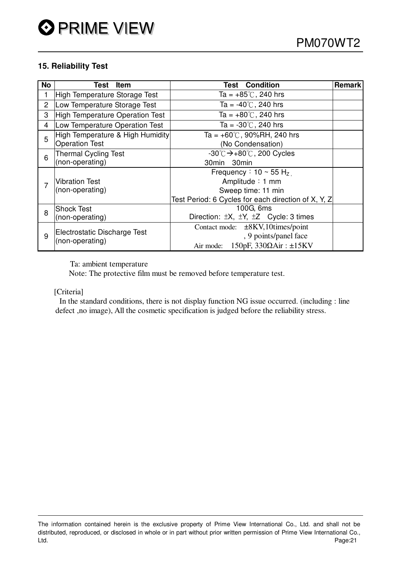### **15. Reliability Test**

| <b>No</b> | Test<br><b>Item</b>              | <b>Test Condition</b>                                   | Remark |
|-----------|----------------------------------|---------------------------------------------------------|--------|
|           | High Temperature Storage Test    | Ta = $+85^{\circ}$ C, 240 hrs                           |        |
| 2         | Low Temperature Storage Test     | Ta = $-40^{\circ}$ C, 240 hrs                           |        |
| 3         | High Temperature Operation Test  | Ta = $+80^{\circ}$ C, 240 hrs                           |        |
| 4         | Low Temperature Operation Test   | Ta = $-30^{\circ}$ C, 240 hrs                           |        |
| 5         | High Temperature & High Humidity | Ta = $+60^{\circ}$ C, 90%RH, 240 hrs                    |        |
|           | <b>Operation Test</b>            | (No Condensation)                                       |        |
| 6         | <b>Thermal Cycling Test</b>      | $-30^{\circ}$ C $\rightarrow +80^{\circ}$ C, 200 Cycles |        |
|           | (non-operating)                  | 30min 30min                                             |        |
|           |                                  | Frequency: $10 \sim 55$ H <sub>z</sub>                  |        |
|           | <b>Vibration Test</b>            | Amplitude: 1 mm                                         |        |
|           | (non-operating)                  | Sweep time: 11 min                                      |        |
|           |                                  | Test Period: 6 Cycles for each direction of X, Y, Z     |        |
| 8         | <b>Shock Test</b>                | 100G, 6ms                                               |        |
|           | (non-operating)                  | Direction: $\pm X$ , $\pm Y$ , $\pm Z$ Cycle: 3 times   |        |
|           |                                  | Contact mode: ±8KV,10times/point                        |        |
| 9         | Electrostatic Discharge Test     | , 9 points/panel face                                   |        |
|           | (non-operating)                  | $150pF$ , $330\Omega Air : \pm 15KV$<br>Air mode:       |        |

Ta: ambient temperature

Note: The protective film must be removed before temperature test.

[Criteria]

In the standard conditions, there is not display function NG issue occurred. (including : line defect ,no image), All the cosmetic specification is judged before the reliability stress.

The information contained herein is the exclusive property of Prime View International Co., Ltd. and shall not be distributed, reproduced, or disclosed in whole or in part without prior written permission of Prime View International Co., Ltd. Page:21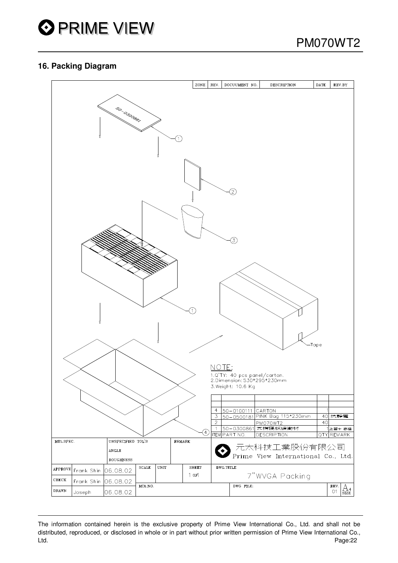

#### **16. Packing Diagram**



The information contained herein is the exclusive property of Prime View International Co., Ltd. and shall not be distributed, reproduced, or disclosed in whole or in part without prior written permission of Prime View International Co., Ltd. Page:22